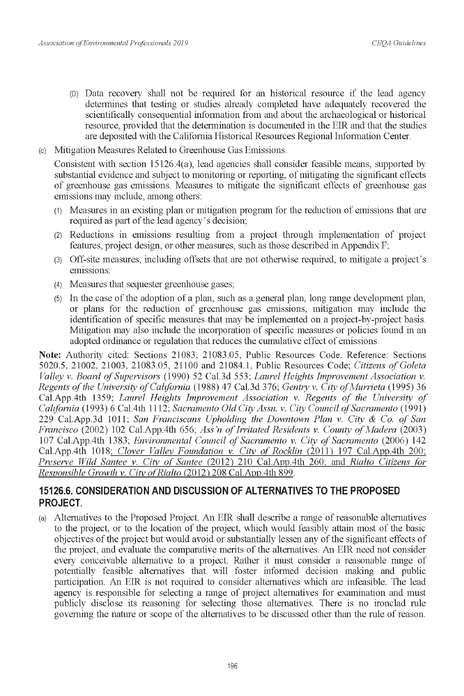- (D) Data recovery shall not be required for an historical resource if the lead agency (D) Data recovery shall not be required for an historical resource if the lead agency determines that testing or studies already completed have adequately recovered the determines that testing or studies already completed have adequately recovered the scientifically consequential information from and about the archaeological or historical scientifically consequential information from and about the archaeological or historical resource, provided that the determination is documented in the EIR and that the studies resource, provided that the determination is documented in the EIR and that the studies are deposited with the California Historical Resources Regional Information Center. are deposited with the California Historical Resources Regional Information Center.
- (c) Mitigation Measures Related to Greenhouse Gas Emissions. (c) Mitigation Measures Related to Greenhouse Gas Emissions.

Consistent with section 15126.4(a), lead agencies shall consider feasible means, supported by Consistent with section 15126.4(a), lead agencies shall consider feasible means, supported by substantial evidence and subject to monitoring or reporting, of mitigating the significant effects substantial evidence and subject to monitoring or reporting, of mitigating the significant effects of greenhouse gas emissions. Measures to mitigate the significant effects of greenhouse gas of greenhouse gas emissions. Measures to mitigate the significant effects of greenhouse gas emissions may include, among others: emissions may include, among others:

- (1) Measures in an existing plan or mitigation program for the reduction of emissions that are (1) Measures in an existing plan or mitigation program for the reduction of emissions that are required as part of the lead agency's decision; required as part of the lead agency's decision;
- (2) Reductions in emissions resulting from a project through implementation of project (2) Reductions in emissions resulting from a project through implementation of project features, project design, or other measures, such as those described in Appendix F; features, project design, or other measures, such as those described in Appendix F;
- (3) Off-site measures, including offsets that are not otherwise required, to mitigate a project's (3) Off-site measures, including offsets that are not otherwise required, to mitigate a project's emissions;
- (4) Measures that sequester greenhouse gases; (4) Measures that sequester greenhouse gases;
- (5) In the case of the adoption of a plan, such as a general plan, long range development plan, (5) In the case of the adoption of a plan, such as a general plan, long range development plan, or plans for the reduction of greenhouse gas emissions, mitigation may include the or plans for the reduction of greenhouse gas emissions, mitigation may include the identification of specific measures that may be implemented on a project-by-project basis. identification of specific measures that may be implemented on a project-by-project basis. Mitigation may also include the incorporation of specific measures or policies found in an Mitigation may also include the incorporation of specific measures or policies found in an adopted ordinance or regulation that reduces the cumulative effect of emissions. adopted ordinance or regulation that reduces the cumulative effect of emissions.

Note: Authority cited: Sections 21083, 21083.05, Public Resources Code. Reference: Sections 5020.5, 21002, 21003, 21083.05, 21100 and 21084.1, Public Resources Code; *Citizens of Goleta Valley v. Board of Supervisors* (1990) 52 Cal.3d 553; *Laurel Heights Improvement Association v. Regents of the University of California* (1988) 47 Cal.3d 376; *Gentry v. City of Murrieta* (1995) 36 Cal.App.4th 1359; *Laurel Heights Improvement Association v. Regents of the University of* California (1993) 6 Cal.4th 1112; *Sacramento Old City Assn. v. City Council of Sacramento* (1991) 229 Cal.App.3d 1011; *San Franciscans Upholding the Downtown Plan v. City & Co. of San Francisco* (2002) 102 Cal.App.4th 656; *Ass'n of Irritated Residents v. County of Madera* (2003) 107 Cal.App.4th 1383; *Environmental Council of Sacramento v. City of Sacramento* (2006) 142 Cal.App.4th 1018; *Clover Valley Foundation v. City of Rocklin* (2011) 197 Cal.App.4th 200; Preserve Wild Santee v. City of Santee (2012) 210 Cal.App.4th 260; and Rialto Citizens for Responsible Growth v. City of Rialto (2012) 208 Cal.App.4th 899. *Responsible Growth v. City of Rialto* (2012) 208 Cal.App.4th 899. Note: Authority cited: Sections 21083, 21083.05, Public Resources Code. Reference: Sections 5020.5, 21002, 21003, 21083.05, 21100 and 21084.1, Public Resources Code; Citizens of Goleta Valley v. Board of Supervisors (1990)

### **15126.6. CONSIDERATION AND DISCUSSION OF ALTERNATIVES TO THE PROPOSED 15126.6. CONSIDERATION AND DISCUSSION OF ALTERNATIVES TO THE PROPOSED PROJECT. PROJECT.**

(a) Alternatives to the Proposed Project. An EIR shall describe a range of reasonable alternatives (a) Alternatives to the Proposed Project. An EIR shall describe a range of reasonable alternatives to the project, or to the location of the project, which would feasibly attain most of the basic to the project, or to the location of the project, which would feasibly attain most of the basic objectives of the project but would avoid or substantially lessen any of the significant effects of the project, and evaluate the comparative merits of the alternatives. An EIR need not consider the project, and evaluate the comparative merits of the alternatives. An EIR need not consider every conceivable alternative to a project. Rather it must consider a reasonable range of every conceivable alternative to a project. Rather it must consider a reasonable range of potentially feasible alternatives that will foster informed decision making and public potentially feasible alternatives that will foster informed decision making and public participation. An EIR is not required to consider alternatives which are infeasible. The lead participation. An EIR is not required to consider alternatives which are infeasible. The lead agency is responsible for selecting a range of project alternatives for examination and must agency is responsible for selecting a range of project alternatives for examination and must publicly disclose its reasoning for selecting those alternatives. There is no ironclad rule publicly disclose its reasoning for selecting those alternatives. There is no ironclad rule governing the nature or scope of the alternatives to be discussed other than the rule of reason. governing the nature or scope of the alternatives to be discussed other than the rule of reason.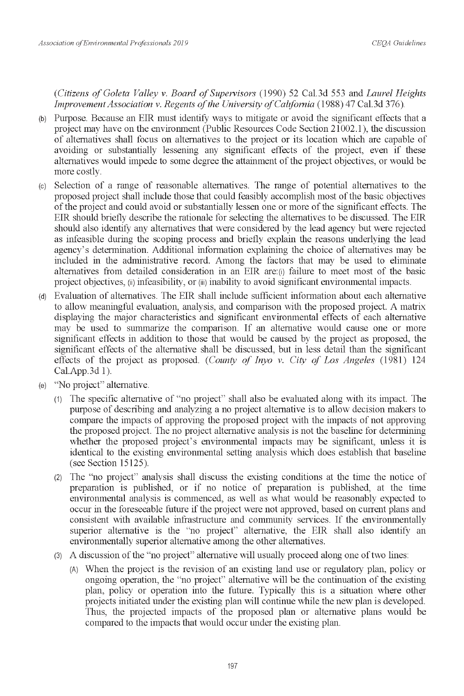Association of Environmental Professionals 2019<br>CEQA Guidelines<br>(Citizens of Goleta Valley v. Board of Supervisors (1990) 52 Cal.3d 553 and Laurel Heights *Improvement Association v. Regents of the University of California* (1988) 47 Cal.3d 376).

- (b) Purpose. Because an EIR must identify ways to mitigate or avoid the significant effects that a (b) Purpose. Because an EIR must identify ways to mitigate or avoid the significant effects that a project may have on the environment (Public Resources Code Section 21002.1), the discussion project may have on the environment (Public Resources Code Section 21002.1 ), the discussion of alternatives shall focus on alternatives to the project or its location which are capable of of alternatives shall focus on alternatives to the project or its location which are capable of avoiding or substantially lessening any significant effects of the project, even if these avoiding or substantially lessening any significant effects of the project, even if these alternatives would impede to some degree the attainment of the project objectives, or would be alternatives would impede to some degree the attainment of the project objectives, or would be more costly.
- more costly.<br>
(c) Selection of a range of reasonable alternatives. The range of potential alternatives to the proposed project shall include those that could feasibly accomplish most of the basic objectives proposed project shall include those that could feasibly accomplish most of the basic objectives of the project and could avoid or substantially lessen one or more of the significant effects. The of the project and could avoid or substantially lessen one or more of the significant effects. The EIR should briefly describe the rationale for selecting the alternatives to be discussed. The EIR EIR should briefly describe the rationale for selecting the alternatives to be discussed. The EIR should also identify any alternatives that were considered by the lead agency but were rejected should also identify any alternatives that were considered by the lead agency but were rejected as infeasible during the scoping process and briefly explain the reasons underlying the lead as infeasible during the scoping process and briefly explain the reasons underlying the lead agency's determination. Additional information explaining the choice of alternatives may be agency's determination. Additional information explaining the choice of alternatives may be included in the administrative record. Among the factors that may be used to eliminate included in the administrative record. Among the factors that may be used to eliminate alternatives from detailed consideration in an EIR are: (i) failure to meet most of the basic alternatives from detailed consideration in an EIR are:(i) failure to meet most of the basic project objectives, (ii) infeasibility, or (iii) inability to avoid significant environmental impacts. project objectives, (ii) infeasibility, or (iii) inability to avoid significant environmental impacts.
- (d) Evaluation of alternatives. The EIR shall include sufficient information about each alternative (d) Evaluation of alternatives. The EIR shall include sufficient information about each alternative to allow meaningful evaluation, analysis, and comparison with the proposed project. A matrix to allow meaningful evaluation, analysis, and comparison with the proposed project. A matrix displaying the major characteristics and significant environmental effects of each alternative displaying the major characteristics and significant environmental effects of each alternative may be used to summarize the comparison. If an alternative would cause one or more may be used to summarize the comparison. If an alternative would cause one or more significant effects in addition to those that would be caused by the project as proposed, the significant effects of the alternative shall be discussed, but in less detail than the significant significant effects of the alternative shall be discussed, but in less detail than the significant effects of the project as proposed. *(County of Inyo v. City of Los Angeles* (1981) 124 Cal.App.3d 1).
- (e) "No project" alternative. Cal.App.3d 1). (e) "No project" alternative.
	- (1) The specific alternative of "no project" shall also be evaluated along with its impact. The (1) The specific alternative of "no project" shall also be evaluated along with its impact. The purpose of describing and analyzing a no project alternative is to allow decision makers to purpose of describing and analyzing a no project alternative is to allow decision makers to compare the impacts of approving the proposed project with the impacts of not approving compare the impacts of approving the proposed project with the impacts of not approving the proposed project. The no project alternative analysis is not the baseline for determining the proposed project. The no project alternative analysis is not the baseline for determining whether the proposed project's environmental impacts may be significant, unless it is whether the proposed project's environmental impacts may be significant, unless it is identical to the existing environmental setting analysis which does establish that baseline identical to the existing environmental setting analysis which does establish that baseline (see Section 15125). (see Section 15125).
	- (2) The "no project" analysis shall discuss the existing conditions at the time the notice of (2) The "no project" analysis shall discuss the existing conditions at the time the notice of preparation is published, or if no notice of preparation is published, at the time preparation is published, or if no notice of preparation is published, at the time environmental analysis is commenced, as well as what would be reasonably expected to occur in the foreseeable future if the project were not approved, based on current plans and occur in the foreseeable future if the project were not approved, based on current plans and consistent with available infrastructure and community services. If the environmentally consistent with available infrastructure and community services. If the environmentally superior alternative is the "no project" alternative, the EIR shall also identify an superior alternative is the "no project" alternative, the EIR shall also identify an environmentally superior alternative among the other alternatives. environmentally superior alternative among the other alternatives.
	- (3) A discussion of the "no project" alternative will usually proceed along one of two lines: (3) A discussion of the "no project" alternative will usually proceed along one of two lines:
		- (A) When the project is the revision of an existing land use or regulatory plan, policy or (A) When the project is the revision of an existing land use or regulatory plan, policy or ongoing operation, the "no project" alternative will be the continuation of the existing ongoing operation, the "no project" alternative will be the continuation of the existing plan, policy or operation into the future. Typically this is a situation where other plan, policy or operation into the future. Typically this is a situation where other projects initiated under the existing plan will continue while the new plan is developed. projects initiated under the existing plan will continue while the new plan is developed. Thus, the projected impacts of the proposed plan or alternative plans would be Thus, the projected impacts of the proposed plan or alternative plans would be compared to the impacts that would occur under the existing plan. compared to the impacts that would occur under the existing plan.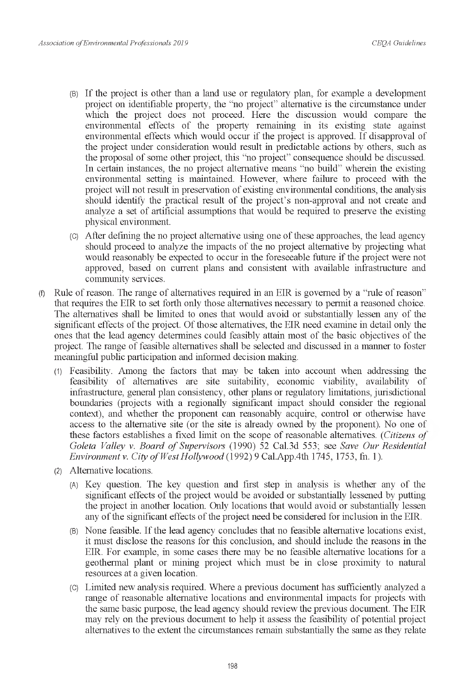- (B) If the project is other than a land use or regulatory plan, for example a development (B) If the project is other than a land use or regulatory plan, for example a development project on identifiable property, the "no project" alternative is the circumstance under project on identifiable property, the "no project" alternative is the circumstance under which the project does not proceed. Here the discussion would compare the which the project does not proceed. Here the discussion would compare the environmental effects of the property remaining in its existing state against environmental effects of the property remaining in its existing state against environmental effects which would occur if the project is approved. If disapproval of environmental effects which would occur if the project is approved. If disapproval of the project under consideration would result in predictable actions by others, such as the project under consideration would result in predictable actions by others, such as the proposal of some other project, this "no project" consequence should be discussed. the proposal of some other project, this "no project" consequence should be discussed. In certain instances, the no project alternative means "no build" wherein the existing In certain instances, the no project alternative means "no build" wherein the existing environmental setting is maintained. However, where failure to proceed with the environmental setting is maintained. However, where failure to proceed with the project will not result in preservation of existing environmental conditions, the analysis project will not result in preservation of existing environmental conditions, the analysis should identify the practical result of the project's non-approval and not create and should identify the practical result of the project's non-approval and not create and analyze a set of artificial assumptions that would be required to preserve the existing analyze a set of artificial assumptions that would be required to preserve the existing physical environment. physical environment.
- (C) After defining the no project alternative using one of these approaches, the lead agency (C) After defining the no project alternative using one of these approaches, the lead agency should proceed to analyze the impacts of the no project alternative by projecting what should proceed to analyze the impacts of the no project alternative by projecting what would reasonably be expected to occur in the foreseeable future if the project were not would reasonably be expected to occur in the foreseeable future if the project were not approved, based on current plans and consistent with available infrastructure and approved, based on current plans and consistent with available infrastructure and community services. community services.
- $(f)$  Rule of reason. The range of alternatives required in an EIR is governed by a "rule of reason" that requires the EIR to set forth only those alternatives necessary to permit a reasoned choice. that requires the EIR to set forth only those alternatives necessary to permit a reasoned choice. The alternatives shall be limited to ones that would avoid or substantially lessen any of the The alternatives shall be limited to ones that would avoid or substantially lessen any of the significant effects of the project. Of those alternatives, the EIR need examine in detail only the significant effects of the project. Of those alternatives, the EIR need examine in detail only the ones that the lead agency determines could feasibly attain most of the basic objectives of the project. The range of feasible alternatives shall be selected and discussed in a manner to foster project. The range of feasible alternatives shall be selected and discussed in a manner to foster meaningful public participation and informed decision making. meaningful public participation and informed decision making.
	- (1) Feasibility. Among the factors that may be taken into account when addressing the (1) Feasibility. Among the factors that may be taken into account when addressing the feasibility of alternatives are site suitability, economic viability, availability of feasibility of alternatives are site suitability, economic viability, availability of infrastructure, general plan consistency, other plans or regulatory limitations, jurisdictional infrastructure, general plan consistency, other plans or regulatory limitations, jurisdictional boundaries (projects with a regionally significant impact should consider the regional boundaries (projects with a regionally significant impact should consider the regional context), and whether the proponent can reasonably acquire, control or otherwise have context), and whether the proponent can reasonably acquire, control or otherwise have access to the alternative site (or the site is already owned by the proponent). No one of these factors establishes a fixed limit on the scope of reasonable alternatives. (*Citizens of* these factors establishes a fixed limit on the scope of reasonable alternatives. *(Citizens of*  Goleta Valley v. Board of Supervisors (1990) 52 Cal.3d 553; see Save Our Residential *Environment v. City of West Hollywood* (1992) 9 Cal.App.4th 1745, 1753, fn. 1).
	- (2) Alternative locations. (2) Alternative locations.
		- (A) Key question. The key question and first step in analysis is whether any of the (A) Key question. The key question and first step in analysis is whether any of the significant effects of the project would be avoided or substantially lessened by putting significant effects of the project would be avoided or substantially lessened by putting the project in another location. Only locations that would avoid or substantially lessen the project in another location. Only locations that would avoid or substantially lessen any of the significant effects of the project need be considered for inclusion in the EIR. any of the significant effects of the project need be considered for inclusion in the EIR
		- (B) None feasible. If the lead agency concludes that no feasible alternative locations exist, (B) None feasible. If the lead agency concludes that no feasible alternative locations exist, it must disclose the reasons for this conclusion, and should include the reasons in the it must disclose the reasons for this conclusion, and should include the reasons in the EIR. For example, in some cases there may be no feasible alternative locations for a EIR For example, in some cases there may be no feasible alternative locations for a geothermal plant or mining project which must be in close proximity to natural geothermal plant or mining project which must be in close proximity to natural resources at a given location. resources at a given location.
		- (C) Limited new analysis required. Where a previous document has sufficiently analyzed a (C) Limited new analysis required. Where a previous document has sufficiently analyzed a range of reasonable alternative locations and environmental impacts for projects with the same basic purpose, the lead agency should review the previous document. The EIR the same basic purpose, the lead agency should review the previous document. The EIR may rely on the previous document to help it assess the feasibility of potential project may rely on the previous document to help it assess the feasibility of potential project alternatives to the extent the circumstances remain substantially the same as they relate alternatives to the extent the circumstances remain substantially the same as they relate 198